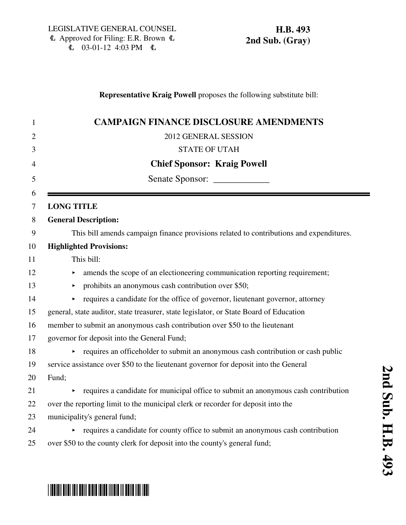### **Representative Kraig Powell** proposes the following substitute bill:

|       | <b>CAMPAIGN FINANCE DISCLOSURE AMENDMENTS</b>                                           |
|-------|-----------------------------------------------------------------------------------------|
|       | 2012 GENERAL SESSION                                                                    |
|       | <b>STATE OF UTAH</b>                                                                    |
|       | <b>Chief Sponsor: Kraig Powell</b>                                                      |
|       |                                                                                         |
|       | <b>LONG TITLE</b>                                                                       |
|       | <b>General Description:</b>                                                             |
|       |                                                                                         |
|       | This bill amends campaign finance provisions related to contributions and expenditures. |
|       | <b>Highlighted Provisions:</b>                                                          |
|       | This bill:                                                                              |
|       | amends the scope of an electioneering communication reporting requirement;              |
|       | prohibits an anonymous cash contribution over \$50;<br>▶                                |
|       | requires a candidate for the office of governor, lieutenant governor, attorney          |
|       | general, state auditor, state treasurer, state legislator, or State Board of Education  |
|       | member to submit an anonymous cash contribution over \$50 to the lieutenant             |
|       | governor for deposit into the General Fund;                                             |
|       | requires an officeholder to submit an anonymous cash contribution or cash public        |
|       | service assistance over \$50 to the lieutenant governor for deposit into the General    |
| Fund; |                                                                                         |
|       | requires a candidate for municipal office to submit an anonymous cash contribution      |
|       | over the reporting limit to the municipal clerk or recorder for deposit into the        |
|       | municipality's general fund;                                                            |
|       | requires a candidate for county office to submit an anonymous cash contribution         |
|       | over \$50 to the county clerk for deposit into the county's general fund;               |

# \*HB0493S02\*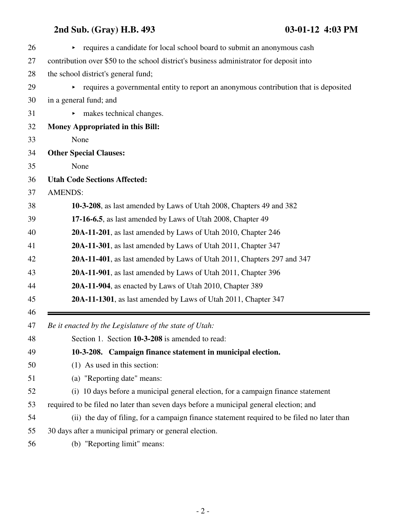| 26       | requires a candidate for local school board to submit an anonymous cash<br>Þ.               |
|----------|---------------------------------------------------------------------------------------------|
| 27       | contribution over \$50 to the school district's business administrator for deposit into     |
| 28       | the school district's general fund;                                                         |
| 29       | requires a governmental entity to report an anonymous contribution that is deposited<br>▶.  |
| 30       | in a general fund; and                                                                      |
| 31       | makes technical changes.                                                                    |
| 32       | Money Appropriated in this Bill:                                                            |
| 33       | None                                                                                        |
| 34       | <b>Other Special Clauses:</b>                                                               |
| 35       | None                                                                                        |
| 36       | <b>Utah Code Sections Affected:</b>                                                         |
| 37       | <b>AMENDS:</b>                                                                              |
| 38       | 10-3-208, as last amended by Laws of Utah 2008, Chapters 49 and 382                         |
| 39       | 17-16-6.5, as last amended by Laws of Utah 2008, Chapter 49                                 |
| 40       | 20A-11-201, as last amended by Laws of Utah 2010, Chapter 246                               |
| 41       | 20A-11-301, as last amended by Laws of Utah 2011, Chapter 347                               |
| 42       | 20A-11-401, as last amended by Laws of Utah 2011, Chapters 297 and 347                      |
| 43       | 20A-11-901, as last amended by Laws of Utah 2011, Chapter 396                               |
| 44       | 20A-11-904, as enacted by Laws of Utah 2010, Chapter 389                                    |
| 45       | 20A-11-1301, as last amended by Laws of Utah 2011, Chapter 347                              |
| 46<br>47 | Be it enacted by the Legislature of the state of Utah:                                      |
| 48       | Section 1. Section 10-3-208 is amended to read:                                             |
| 49       | 10-3-208. Campaign finance statement in municipal election.                                 |
| 50       | (1) As used in this section:                                                                |
| 51       | (a) "Reporting date" means:                                                                 |
| 52       | (i) 10 days before a municipal general election, for a campaign finance statement           |
| 53       | required to be filed no later than seven days before a municipal general election; and      |
| 54       | (ii) the day of filing, for a campaign finance statement required to be filed no later than |
| 55       | 30 days after a municipal primary or general election.                                      |
| 56       | (b) "Reporting limit" means:                                                                |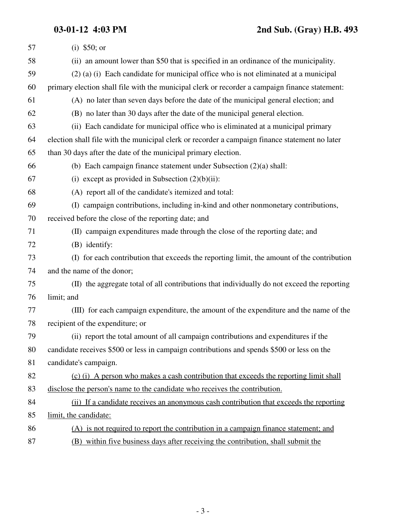| 57 | (i) $$50; or$                                                                                  |
|----|------------------------------------------------------------------------------------------------|
| 58 | (ii) an amount lower than \$50 that is specified in an ordinance of the municipality.          |
| 59 | $(2)$ (a) (i) Each candidate for municipal office who is not eliminated at a municipal         |
| 60 | primary election shall file with the municipal clerk or recorder a campaign finance statement: |
| 61 | (A) no later than seven days before the date of the municipal general election; and            |
| 62 | (B) no later than 30 days after the date of the municipal general election.                    |
| 63 | (ii) Each candidate for municipal office who is eliminated at a municipal primary              |
| 64 | election shall file with the municipal clerk or recorder a campaign finance statement no later |
| 65 | than 30 days after the date of the municipal primary election.                                 |
| 66 | (b) Each campaign finance statement under Subsection $(2)(a)$ shall:                           |
| 67 | (i) except as provided in Subsection $(2)(b)(ii)$ :                                            |
| 68 | (A) report all of the candidate's itemized and total:                                          |
| 69 | (I) campaign contributions, including in-kind and other nonmonetary contributions,             |
| 70 | received before the close of the reporting date; and                                           |
| 71 | (II) campaign expenditures made through the close of the reporting date; and                   |
| 72 | (B) identify:                                                                                  |
| 73 | (I) for each contribution that exceeds the reporting limit, the amount of the contribution     |
| 74 | and the name of the donor;                                                                     |
| 75 | (II) the aggregate total of all contributions that individually do not exceed the reporting    |
| 76 | limit; and                                                                                     |
| 77 | (III) for each campaign expenditure, the amount of the expenditure and the name of the         |
| 78 | recipient of the expenditure; or                                                               |
| 79 | (ii) report the total amount of all campaign contributions and expenditures if the             |
| 80 | candidate receives \$500 or less in campaign contributions and spends \$500 or less on the     |
| 81 | candidate's campaign.                                                                          |
| 82 | (c) (i) A person who makes a cash contribution that exceeds the reporting limit shall          |
| 83 | disclose the person's name to the candidate who receives the contribution.                     |
| 84 | (ii) If a candidate receives an anonymous cash contribution that exceeds the reporting         |
| 85 | limit, the candidate:                                                                          |
| 86 | (A) is not required to report the contribution in a campaign finance statement; and            |
| 87 | (B) within five business days after receiving the contribution, shall submit the               |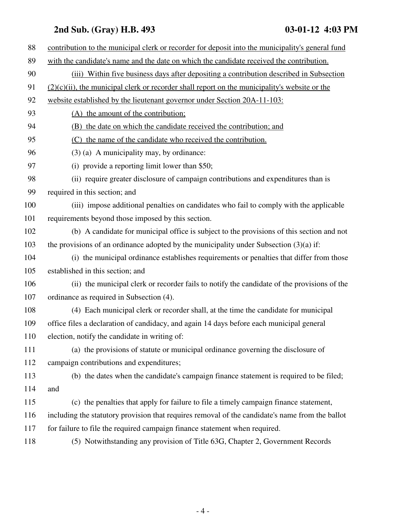| 88  | contribution to the municipal clerk or recorder for deposit into the municipality's general fund |
|-----|--------------------------------------------------------------------------------------------------|
| 89  | with the candidate's name and the date on which the candidate received the contribution.         |
| 90  | (iii) Within five business days after depositing a contribution described in Subsection          |
| 91  | $(2)(c)(ii)$ , the municipal clerk or recorder shall report on the municipality's website or the |
| 92  | website established by the lieutenant governor under Section 20A-11-103:                         |
| 93  | (A) the amount of the contribution;                                                              |
| 94  | (B) the date on which the candidate received the contribution; and                               |
| 95  | (C) the name of the candidate who received the contribution.                                     |
| 96  | $(3)$ (a) A municipality may, by ordinance:                                                      |
| 97  | (i) provide a reporting limit lower than \$50;                                                   |
| 98  | (ii) require greater disclosure of campaign contributions and expenditures than is               |
| 99  | required in this section; and                                                                    |
| 100 | (iii) impose additional penalties on candidates who fail to comply with the applicable           |
| 101 | requirements beyond those imposed by this section.                                               |
| 102 | (b) A candidate for municipal office is subject to the provisions of this section and not        |
| 103 | the provisions of an ordinance adopted by the municipality under Subsection $(3)(a)$ if:         |
| 104 | (i) the municipal ordinance establishes requirements or penalties that differ from those         |
| 105 | established in this section; and                                                                 |
| 106 | (ii) the municipal clerk or recorder fails to notify the candidate of the provisions of the      |
| 107 | ordinance as required in Subsection (4).                                                         |
| 108 | (4) Each municipal clerk or recorder shall, at the time the candidate for municipal              |
| 109 | office files a declaration of candidacy, and again 14 days before each municipal general         |
| 110 | election, notify the candidate in writing of:                                                    |
| 111 | (a) the provisions of statute or municipal ordinance governing the disclosure of                 |
| 112 | campaign contributions and expenditures;                                                         |
| 113 | (b) the dates when the candidate's campaign finance statement is required to be filed;           |
| 114 | and                                                                                              |
| 115 | (c) the penalties that apply for failure to file a timely campaign finance statement,            |
| 116 | including the statutory provision that requires removal of the candidate's name from the ballot  |
| 117 | for failure to file the required campaign finance statement when required.                       |
| 118 | (5) Notwithstanding any provision of Title 63G, Chapter 2, Government Records                    |
|     |                                                                                                  |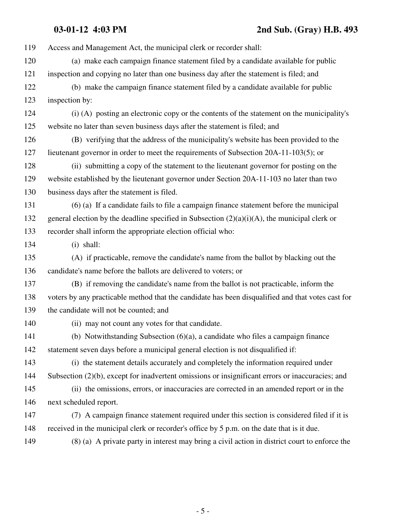**03-01-12 4:03 PM 2nd Sub. (Gray) H.B. 493**

| 119 | Access and Management Act, the municipal clerk or recorder shall:                                 |
|-----|---------------------------------------------------------------------------------------------------|
| 120 | (a) make each campaign finance statement filed by a candidate available for public                |
| 121 | inspection and copying no later than one business day after the statement is filed; and           |
| 122 | (b) make the campaign finance statement filed by a candidate available for public                 |
| 123 | inspection by:                                                                                    |
| 124 | (i) (A) posting an electronic copy or the contents of the statement on the municipality's         |
| 125 | website no later than seven business days after the statement is filed; and                       |
| 126 | (B) verifying that the address of the municipality's website has been provided to the             |
| 127 | lieutenant governor in order to meet the requirements of Subsection 20A-11-103(5); or             |
| 128 | (ii) submitting a copy of the statement to the lieutenant governor for posting on the             |
| 129 | website established by the lieutenant governor under Section 20A-11-103 no later than two         |
| 130 | business days after the statement is filed.                                                       |
| 131 | $(6)$ (a) If a candidate fails to file a campaign finance statement before the municipal          |
| 132 | general election by the deadline specified in Subsection $(2)(a)(i)(A)$ , the municipal clerk or  |
| 133 | recorder shall inform the appropriate election official who:                                      |
| 134 | $(i)$ shall:                                                                                      |
| 135 | (A) if practicable, remove the candidate's name from the ballot by blacking out the               |
| 136 | candidate's name before the ballots are delivered to voters; or                                   |
| 137 | (B) if removing the candidate's name from the ballot is not practicable, inform the               |
| 138 | voters by any practicable method that the candidate has been disqualified and that votes cast for |
| 139 | the candidate will not be counted; and                                                            |
| 140 | (ii) may not count any votes for that candidate.                                                  |
| 141 | (b) Notwithstanding Subsection $(6)(a)$ , a candidate who files a campaign finance                |
| 142 | statement seven days before a municipal general election is not disqualified if:                  |
| 143 | (i) the statement details accurately and completely the information required under                |
| 144 | Subsection (2)(b), except for inadvertent omissions or insignificant errors or inaccuracies; and  |
| 145 | (ii) the omissions, errors, or inaccuracies are corrected in an amended report or in the          |
| 146 | next scheduled report.                                                                            |
| 147 | (7) A campaign finance statement required under this section is considered filed if it is         |
| 148 | received in the municipal clerk or recorder's office by 5 p.m. on the date that is it due.        |
| 149 | (8) (a) A private party in interest may bring a civil action in district court to enforce the     |
|     |                                                                                                   |

- 5 -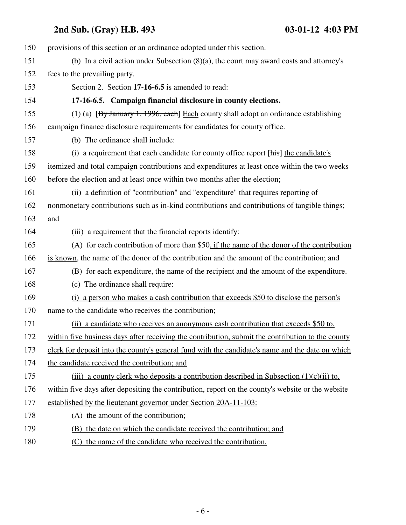| 150 | provisions of this section or an ordinance adopted under this section.                            |
|-----|---------------------------------------------------------------------------------------------------|
| 151 | (b) In a civil action under Subsection $(8)(a)$ , the court may award costs and attorney's        |
| 152 | fees to the prevailing party.                                                                     |
| 153 | Section 2. Section 17-16-6.5 is amended to read:                                                  |
| 154 | 17-16-6.5. Campaign financial disclosure in county elections.                                     |
| 155 | (1) (a) [By January 1, 1996, each] Each county shall adopt an ordinance establishing              |
| 156 | campaign finance disclosure requirements for candidates for county office.                        |
| 157 | (b) The ordinance shall include:                                                                  |
| 158 | (i) a requirement that each candidate for county office report [his] the candidate's              |
| 159 | itemized and total campaign contributions and expenditures at least once within the two weeks     |
| 160 | before the election and at least once within two months after the election;                       |
| 161 | (ii) a definition of "contribution" and "expenditure" that requires reporting of                  |
| 162 | nonmonetary contributions such as in-kind contributions and contributions of tangible things;     |
| 163 | and                                                                                               |
| 164 | (iii) a requirement that the financial reports identify:                                          |
| 165 | (A) for each contribution of more than \$50, if the name of the donor of the contribution         |
| 166 | is known, the name of the donor of the contribution and the amount of the contribution; and       |
| 167 | (B) for each expenditure, the name of the recipient and the amount of the expenditure.            |
| 168 | (c) The ordinance shall require:                                                                  |
| 169 | (i) a person who makes a cash contribution that exceeds \$50 to disclose the person's             |
| 170 | name to the candidate who receives the contribution;                                              |
| 171 | (ii) a candidate who receives an anonymous cash contribution that exceeds \$50 to,                |
| 172 | within five business days after receiving the contribution, submit the contribution to the county |
| 173 | clerk for deposit into the county's general fund with the candidate's name and the date on which  |
| 174 | the candidate received the contribution; and                                                      |
| 175 | (iii) a county clerk who deposits a contribution described in Subsection $(1)(c)(ii)$ to,         |
| 176 | within five days after depositing the contribution, report on the county's website or the website |
| 177 | established by the lieutenant governor under Section 20A-11-103:                                  |
| 178 | (A) the amount of the contribution;                                                               |
| 179 | (B) the date on which the candidate received the contribution; and                                |
| 180 | (C) the name of the candidate who received the contribution.                                      |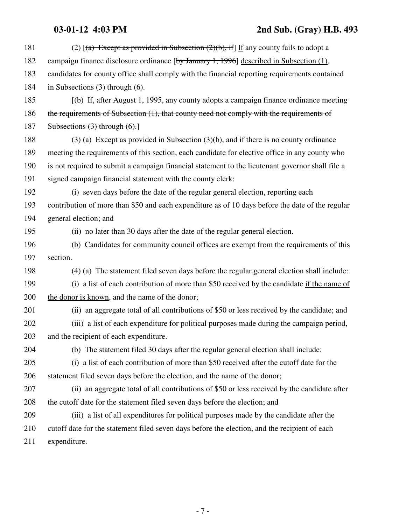### **03-01-12 4:03 PM 2nd Sub. (Gray) H.B. 493**

| 181 | (2) $[(a)$ Except as provided in Subsection $(2)(b)$ , if If any county fails to adopt a         |
|-----|--------------------------------------------------------------------------------------------------|
| 182 | campaign finance disclosure ordinance [by January 1, 1996] described in Subsection (1),          |
| 183 | candidates for county office shall comply with the financial reporting requirements contained    |
| 184 | in Subsections $(3)$ through $(6)$ .                                                             |
| 185 | $[$ (b) If, after August 1, 1995, any county adopts a campaign finance ordinance meeting         |
| 186 | the requirements of Subsection (1), that county need not comply with the requirements of         |
| 187 | Subsections $(3)$ through $(6)$ .                                                                |
| 188 | $(3)$ (a) Except as provided in Subsection $(3)(b)$ , and if there is no county ordinance        |
| 189 | meeting the requirements of this section, each candidate for elective office in any county who   |
| 190 | is not required to submit a campaign financial statement to the lieutenant governor shall file a |
| 191 | signed campaign financial statement with the county clerk:                                       |
| 192 | (i) seven days before the date of the regular general election, reporting each                   |
| 193 | contribution of more than \$50 and each expenditure as of 10 days before the date of the regular |
| 194 | general election; and                                                                            |
| 195 | (ii) no later than 30 days after the date of the regular general election.                       |
| 196 | (b) Candidates for community council offices are exempt from the requirements of this            |
|     |                                                                                                  |
| 197 | section.                                                                                         |
| 198 | (4) (a) The statement filed seven days before the regular general election shall include:        |
| 199 | (i) a list of each contribution of more than \$50 received by the candidate if the name of       |
| 200 | the donor is known, and the name of the donor;                                                   |
| 201 | (ii) an aggregate total of all contributions of \$50 or less received by the candidate; and      |
| 202 | (iii) a list of each expenditure for political purposes made during the campaign period,         |
| 203 | and the recipient of each expenditure.                                                           |
| 204 | (b) The statement filed 30 days after the regular general election shall include:                |
| 205 | (i) a list of each contribution of more than \$50 received after the cutoff date for the         |
| 206 | statement filed seven days before the election, and the name of the donor;                       |
| 207 | (ii) an aggregate total of all contributions of \$50 or less received by the candidate after     |
| 208 | the cutoff date for the statement filed seven days before the election; and                      |
| 209 | (iii) a list of all expenditures for political purposes made by the candidate after the          |
| 210 | cutoff date for the statement filed seven days before the election, and the recipient of each    |
| 211 | expenditure.                                                                                     |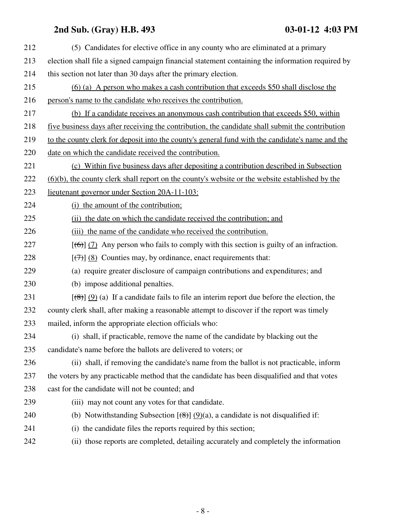| 212 | (5) Candidates for elective office in any county who are eliminated at a primary                                 |
|-----|------------------------------------------------------------------------------------------------------------------|
| 213 | election shall file a signed campaign financial statement containing the information required by                 |
| 214 | this section not later than 30 days after the primary election.                                                  |
| 215 | $(6)$ (a) A person who makes a cash contribution that exceeds \$50 shall disclose the                            |
| 216 | person's name to the candidate who receives the contribution.                                                    |
| 217 | (b) If a candidate receives an anonymous cash contribution that exceeds \$50, within                             |
| 218 | five business days after receiving the contribution, the candidate shall submit the contribution                 |
| 219 | to the county clerk for deposit into the county's general fund with the candidate's name and the                 |
| 220 | date on which the candidate received the contribution.                                                           |
| 221 | (c) Within five business days after depositing a contribution described in Subsection                            |
| 222 | (6)(b), the county clerk shall report on the county's website or the website established by the                  |
| 223 | lieutenant governor under Section 20A-11-103:                                                                    |
| 224 | (i) the amount of the contribution;                                                                              |
| 225 | (ii) the date on which the candidate received the contribution; and                                              |
| 226 | (iii) the name of the candidate who received the contribution.                                                   |
| 227 | $[\text{(\theta)}]$ (7) Any person who fails to comply with this section is guilty of an infraction.             |
| 228 | $[\langle 7\rangle]$ (8) Counties may, by ordinance, enact requirements that:                                    |
| 229 | (a) require greater disclosure of campaign contributions and expenditures; and                                   |
| 230 | (b) impose additional penalties.                                                                                 |
| 231 | $[\frac{1}{2}, \frac{1}{2}]$ (9) (a) If a candidate fails to file an interim report due before the election, the |
| 232 | county clerk shall, after making a reasonable attempt to discover if the report was timely                       |
| 233 | mailed, inform the appropriate election officials who:                                                           |
| 234 | (i) shall, if practicable, remove the name of the candidate by blacking out the                                  |
| 235 | candidate's name before the ballots are delivered to voters; or                                                  |
| 236 | (ii) shall, if removing the candidate's name from the ballot is not practicable, inform                          |
| 237 | the voters by any practicable method that the candidate has been disqualified and that votes                     |
| 238 | cast for the candidate will not be counted; and                                                                  |
| 239 | (iii) may not count any votes for that candidate.                                                                |
| 240 | (b) Notwithstanding Subsection $[\frac{49}{19}] (9)(a)$ , a candidate is not disqualified if:                    |
| 241 | (i) the candidate files the reports required by this section;                                                    |
| 242 | (ii) those reports are completed, detailing accurately and completely the information                            |
|     |                                                                                                                  |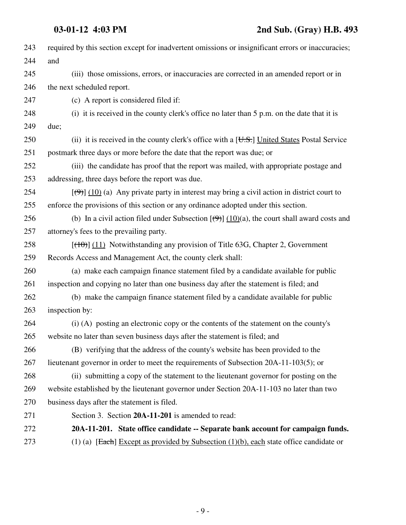| 243 | required by this section except for inadvertent omissions or insignificant errors or inaccuracies;                       |
|-----|--------------------------------------------------------------------------------------------------------------------------|
| 244 | and                                                                                                                      |
| 245 | (iii) those omissions, errors, or inaccuracies are corrected in an amended report or in                                  |
| 246 | the next scheduled report.                                                                                               |
| 247 | (c) A report is considered filed if:                                                                                     |
| 248 | (i) it is received in the county clerk's office no later than 5 p.m. on the date that it is                              |
| 249 | due;                                                                                                                     |
| 250 | (ii) it is received in the county clerk's office with a $[\overline{U.S.}]$ United States Postal Service                 |
| 251 | postmark three days or more before the date that the report was due; or                                                  |
| 252 | (iii) the candidate has proof that the report was mailed, with appropriate postage and                                   |
| 253 | addressing, three days before the report was due.                                                                        |
| 254 | $[\langle 9 \rangle]$ (10) (a) Any private party in interest may bring a civil action in district court to               |
| 255 | enforce the provisions of this section or any ordinance adopted under this section.                                      |
| 256 | (b) In a civil action filed under Subsection $[\left(\frac{\Theta}{2}\right)] (10)(a)$ , the court shall award costs and |
| 257 | attorney's fees to the prevailing party.                                                                                 |
| 258 | $[(10)(11)]$ Notwithstanding any provision of Title 63G, Chapter 2, Government                                           |
| 259 | Records Access and Management Act, the county clerk shall:                                                               |
| 260 | (a) make each campaign finance statement filed by a candidate available for public                                       |
| 261 | inspection and copying no later than one business day after the statement is filed; and                                  |
| 262 | (b) make the campaign finance statement filed by a candidate available for public                                        |
| 263 | inspection by:                                                                                                           |
| 264 | (i) (A) posting an electronic copy or the contents of the statement on the county's                                      |
| 265 | website no later than seven business days after the statement is filed; and                                              |
| 266 | (B) verifying that the address of the county's website has been provided to the                                          |
| 267 | lieutenant governor in order to meet the requirements of Subsection 20A-11-103(5); or                                    |
| 268 | (ii) submitting a copy of the statement to the lieutenant governor for posting on the                                    |
| 269 | website established by the lieutenant governor under Section 20A-11-103 no later than two                                |
| 270 | business days after the statement is filed.                                                                              |
| 271 | Section 3. Section 20A-11-201 is amended to read:                                                                        |
| 272 | 20A-11-201. State office candidate -- Separate bank account for campaign funds.                                          |
| 273 | (1) (a) [Each] Except as provided by Subsection $(1)(b)$ , each state office candidate or                                |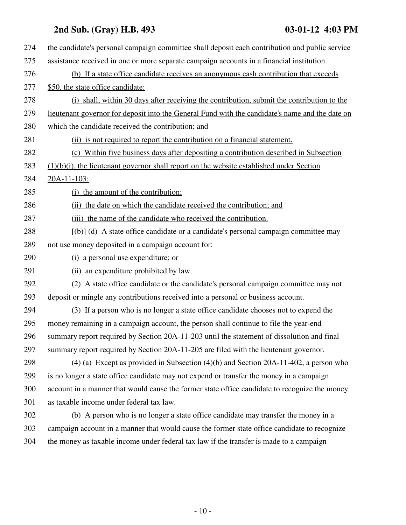| 274 | the candidate's personal campaign committee shall deposit each contribution and public service  |
|-----|-------------------------------------------------------------------------------------------------|
| 275 | assistance received in one or more separate campaign accounts in a financial institution.       |
| 276 | (b) If a state office candidate receives an anonymous cash contribution that exceeds            |
| 277 | \$50, the state office candidate:                                                               |
| 278 | (i) shall, within 30 days after receiving the contribution, submit the contribution to the      |
| 279 | lieutenant governor for deposit into the General Fund with the candidate's name and the date on |
| 280 | which the candidate received the contribution; and                                              |
| 281 | (ii) is not required to report the contribution on a financial statement.                       |
| 282 | (c) Within five business days after depositing a contribution described in Subsection           |
| 283 | $(1)(b)(i)$ , the lieutenant governor shall report on the website established under Section     |
| 284 | 20A-11-103:                                                                                     |
| 285 | (i) the amount of the contribution;                                                             |
| 286 | (ii) the date on which the candidate received the contribution; and                             |
| 287 | (iii) the name of the candidate who received the contribution.                                  |
| 288 | $[\theta]$ (d) A state office candidate or a candidate's personal campaign committee may        |
| 289 | not use money deposited in a campaign account for:                                              |
| 290 | (i) a personal use expenditure; or                                                              |
| 291 | (ii) an expenditure prohibited by law.                                                          |
| 292 | (2) A state office candidate or the candidate's personal campaign committee may not             |
| 293 | deposit or mingle any contributions received into a personal or business account.               |
| 294 | (3) If a person who is no longer a state office candidate chooses not to expend the             |
| 295 | money remaining in a campaign account, the person shall continue to file the year-end           |
| 296 | summary report required by Section 20A-11-203 until the statement of dissolution and final      |
| 297 | summary report required by Section 20A-11-205 are filed with the lieutenant governor.           |
| 298 | $(4)$ (a) Except as provided in Subsection $(4)(b)$ and Section 20A-11-402, a person who        |
| 299 | is no longer a state office candidate may not expend or transfer the money in a campaign        |
| 300 | account in a manner that would cause the former state office candidate to recognize the money   |
| 301 | as taxable income under federal tax law.                                                        |
| 302 | (b) A person who is no longer a state office candidate may transfer the money in a              |
| 303 | campaign account in a manner that would cause the former state office candidate to recognize    |
| 304 | the money as taxable income under federal tax law if the transfer is made to a campaign         |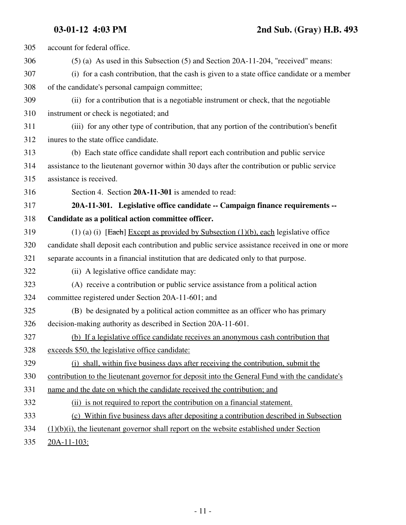| 305 | account for federal office.                                                                     |
|-----|-------------------------------------------------------------------------------------------------|
| 306 | $(5)$ (a) As used in this Subsection $(5)$ and Section 20A-11-204, "received" means:            |
| 307 | (i) for a cash contribution, that the cash is given to a state office candidate or a member     |
| 308 | of the candidate's personal campaign committee;                                                 |
| 309 | (ii) for a contribution that is a negotiable instrument or check, that the negotiable           |
| 310 | instrument or check is negotiated; and                                                          |
| 311 | (iii) for any other type of contribution, that any portion of the contribution's benefit        |
| 312 | inures to the state office candidate.                                                           |
| 313 | (b) Each state office candidate shall report each contribution and public service               |
| 314 | assistance to the lieutenant governor within 30 days after the contribution or public service   |
| 315 | assistance is received.                                                                         |
| 316 | Section 4. Section 20A-11-301 is amended to read:                                               |
| 317 | 20A-11-301. Legislative office candidate -- Campaign finance requirements --                    |
| 318 | Candidate as a political action committee officer.                                              |
| 319 | (1) (a) (i) [Each] Except as provided by Subsection $(1)(b)$ , each legislative office          |
| 320 | candidate shall deposit each contribution and public service assistance received in one or more |
| 321 | separate accounts in a financial institution that are dedicated only to that purpose.           |
| 322 | (ii) A legislative office candidate may:                                                        |
| 323 | (A) receive a contribution or public service assistance from a political action                 |
| 324 | committee registered under Section 20A-11-601; and                                              |
| 325 | (B) be designated by a political action committee as an officer who has primary                 |
| 326 | decision-making authority as described in Section 20A-11-601.                                   |
| 327 | (b) If a legislative office candidate receives an anonymous cash contribution that              |
| 328 | exceeds \$50, the legislative office candidate:                                                 |
| 329 | (i) shall, within five business days after receiving the contribution, submit the               |
| 330 | contribution to the lieutenant governor for deposit into the General Fund with the candidate's  |
| 331 | name and the date on which the candidate received the contribution; and                         |
| 332 | (ii) is not required to report the contribution on a financial statement.                       |
| 333 | (c) Within five business days after depositing a contribution described in Subsection           |
| 334 | $(1)(b)(i)$ , the lieutenant governor shall report on the website established under Section     |
| 335 | $20A-11-103$ :                                                                                  |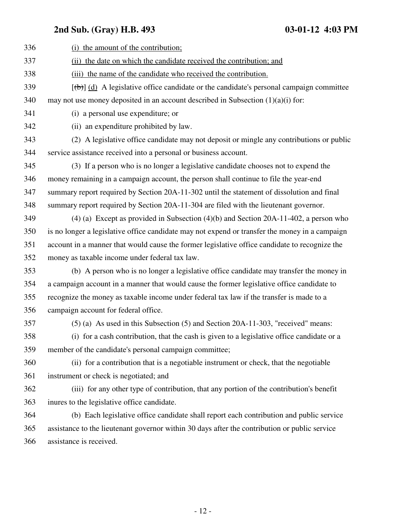| 336 | (i) the amount of the contribution;                                                              |
|-----|--------------------------------------------------------------------------------------------------|
| 337 | (ii) the date on which the candidate received the contribution; and                              |
| 338 | (iii) the name of the candidate who received the contribution.                                   |
| 339 | $[\text{(+)}]$ (d) A legislative office candidate or the candidate's personal campaign committee |
| 340 | may not use money deposited in an account described in Subsection $(1)(a)(i)$ for:               |
| 341 | (i) a personal use expenditure; or                                                               |
| 342 | (ii) an expenditure prohibited by law.                                                           |
| 343 | (2) A legislative office candidate may not deposit or mingle any contributions or public         |
| 344 | service assistance received into a personal or business account.                                 |
| 345 | (3) If a person who is no longer a legislative candidate chooses not to expend the               |
| 346 | money remaining in a campaign account, the person shall continue to file the year-end            |
| 347 | summary report required by Section 20A-11-302 until the statement of dissolution and final       |
| 348 | summary report required by Section 20A-11-304 are filed with the lieutenant governor.            |
| 349 | $(4)$ (a) Except as provided in Subsection $(4)(b)$ and Section 20A-11-402, a person who         |
| 350 | is no longer a legislative office candidate may not expend or transfer the money in a campaign   |
| 351 | account in a manner that would cause the former legislative office candidate to recognize the    |
| 352 | money as taxable income under federal tax law.                                                   |
| 353 | (b) A person who is no longer a legislative office candidate may transfer the money in           |
| 354 | a campaign account in a manner that would cause the former legislative office candidate to       |
| 355 | recognize the money as taxable income under federal tax law if the transfer is made to a         |
| 356 | campaign account for federal office.                                                             |
| 357 | (5) (a) As used in this Subsection (5) and Section 20A-11-303, "received" means:                 |
| 358 | (i) for a cash contribution, that the cash is given to a legislative office candidate or a       |
| 359 | member of the candidate's personal campaign committee;                                           |
| 360 | (ii) for a contribution that is a negotiable instrument or check, that the negotiable            |
| 361 | instrument or check is negotiated; and                                                           |
| 362 | (iii) for any other type of contribution, that any portion of the contribution's benefit         |
| 363 | inures to the legislative office candidate.                                                      |
| 364 | (b) Each legislative office candidate shall report each contribution and public service          |
| 365 | assistance to the lieutenant governor within 30 days after the contribution or public service    |
| 366 | assistance is received.                                                                          |
|     |                                                                                                  |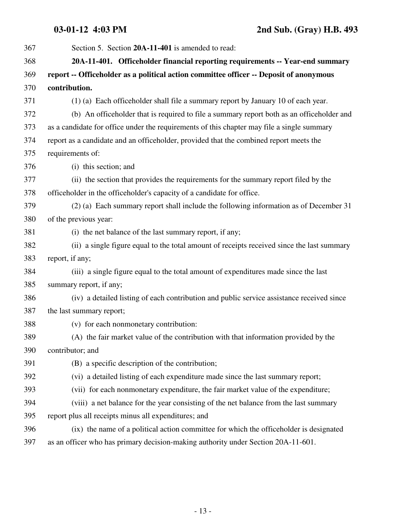**03-01-12 4:03 PM 2nd Sub. (Gray) H.B. 493**

| 367 | Section 5. Section 20A-11-401 is amended to read:                                          |
|-----|--------------------------------------------------------------------------------------------|
| 368 | 20A-11-401. Officeholder financial reporting requirements -- Year-end summary              |
| 369 | report -- Officeholder as a political action committee officer -- Deposit of anonymous     |
| 370 | contribution.                                                                              |
| 371 | (1) (a) Each officeholder shall file a summary report by January 10 of each year.          |
| 372 | (b) An officeholder that is required to file a summary report both as an officeholder and  |
| 373 | as a candidate for office under the requirements of this chapter may file a single summary |
| 374 | report as a candidate and an officeholder, provided that the combined report meets the     |
| 375 | requirements of:                                                                           |
| 376 | (i) this section; and                                                                      |
| 377 | (ii) the section that provides the requirements for the summary report filed by the        |
| 378 | officeholder in the officeholder's capacity of a candidate for office.                     |
| 379 | (2) (a) Each summary report shall include the following information as of December 31      |
| 380 | of the previous year:                                                                      |
| 381 | (i) the net balance of the last summary report, if any;                                    |
| 382 | (ii) a single figure equal to the total amount of receipts received since the last summary |
| 383 | report, if any;                                                                            |
| 384 | (iii) a single figure equal to the total amount of expenditures made since the last        |
| 385 | summary report, if any;                                                                    |
| 386 | (iv) a detailed listing of each contribution and public service assistance received since  |
| 387 | the last summary report;                                                                   |
| 388 | (v) for each nonmonetary contribution:                                                     |
| 389 | (A) the fair market value of the contribution with that information provided by the        |
| 390 | contributor; and                                                                           |
| 391 | (B) a specific description of the contribution;                                            |
| 392 | (vi) a detailed listing of each expenditure made since the last summary report;            |
| 393 | (vii) for each nonmonetary expenditure, the fair market value of the expenditure;          |
| 394 | (viii) a net balance for the year consisting of the net balance from the last summary      |
| 395 | report plus all receipts minus all expenditures; and                                       |
| 396 | (ix) the name of a political action committee for which the officeholder is designated     |
| 397 | as an officer who has primary decision-making authority under Section 20A-11-601.          |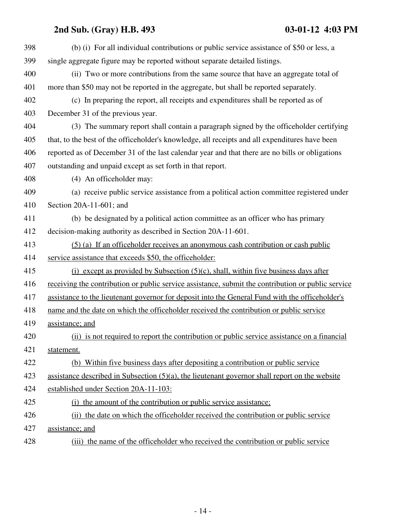| 398 | (b) (i) For all individual contributions or public service assistance of \$50 or less, a           |
|-----|----------------------------------------------------------------------------------------------------|
| 399 | single aggregate figure may be reported without separate detailed listings.                        |
| 400 | (ii) Two or more contributions from the same source that have an aggregate total of                |
| 401 | more than \$50 may not be reported in the aggregate, but shall be reported separately.             |
| 402 | (c) In preparing the report, all receipts and expenditures shall be reported as of                 |
| 403 | December 31 of the previous year.                                                                  |
| 404 | (3) The summary report shall contain a paragraph signed by the officeholder certifying             |
| 405 | that, to the best of the officeholder's knowledge, all receipts and all expenditures have been     |
| 406 | reported as of December 31 of the last calendar year and that there are no bills or obligations    |
| 407 | outstanding and unpaid except as set forth in that report.                                         |
| 408 | (4) An officeholder may:                                                                           |
| 409 | (a) receive public service assistance from a political action committee registered under           |
| 410 | Section 20A-11-601; and                                                                            |
| 411 | (b) be designated by a political action committee as an officer who has primary                    |
| 412 | decision-making authority as described in Section 20A-11-601.                                      |
| 413 | (5) (a) If an officeholder receives an anonymous cash contribution or cash public                  |
| 414 | service assistance that exceeds \$50, the officeholder:                                            |
| 415 | (i) except as provided by Subsection $(5)(c)$ , shall, within five business days after             |
| 416 | receiving the contribution or public service assistance, submit the contribution or public service |
| 417 | assistance to the lieutenant governor for deposit into the General Fund with the officeholder's    |
| 418 | name and the date on which the officeholder received the contribution or public service            |
| 419 | assistance; and                                                                                    |
| 420 | (ii) is not required to report the contribution or public service assistance on a financial        |
| 421 | statement.                                                                                         |
| 422 | (b) Within five business days after depositing a contribution or public service                    |
| 423 | assistance described in Subsection $(5)(a)$ , the lieutenant governor shall report on the website  |
| 424 | established under Section 20A-11-103:                                                              |
| 425 | (i) the amount of the contribution or public service assistance;                                   |
| 426 | (ii) the date on which the officeholder received the contribution or public service                |
| 427 | assistance; and                                                                                    |
| 428 | (iii) the name of the officeholder who received the contribution or public service                 |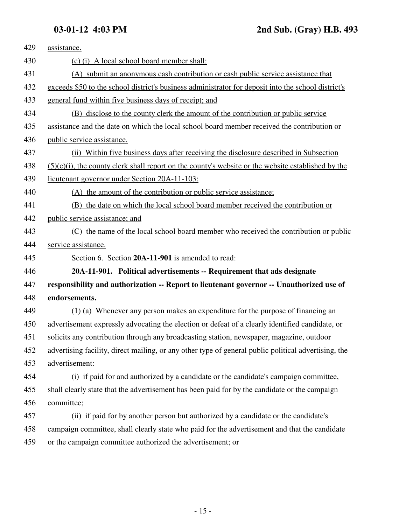| 429 | assistance.                                                                                           |
|-----|-------------------------------------------------------------------------------------------------------|
| 430 | (c) (i) A local school board member shall:                                                            |
| 431 | (A) submit an anonymous cash contribution or cash public service assistance that                      |
| 432 | exceeds \$50 to the school district's business administrator for deposit into the school district's   |
| 433 | general fund within five business days of receipt; and                                                |
| 434 | (B) disclose to the county clerk the amount of the contribution or public service                     |
| 435 | assistance and the date on which the local school board member received the contribution or           |
| 436 | public service assistance.                                                                            |
| 437 | (ii) Within five business days after receiving the disclosure described in Subsection                 |
| 438 | $(5)(c)(i)$ , the county clerk shall report on the county's website or the website established by the |
| 439 | lieutenant governor under Section 20A-11-103:                                                         |
| 440 | (A) the amount of the contribution or public service assistance;                                      |
| 441 | (B) the date on which the local school board member received the contribution or                      |
| 442 | public service assistance; and                                                                        |
| 443 | (C) the name of the local school board member who received the contribution or public                 |
| 444 | service assistance.                                                                                   |
| 445 | Section 6. Section 20A-11-901 is amended to read:                                                     |
| 446 | 20A-11-901. Political advertisements -- Requirement that ads designate                                |
| 447 | responsibility and authorization -- Report to lieutenant governor -- Unauthorized use of              |
| 448 | endorsements.                                                                                         |
| 449 | (1) (a) Whenever any person makes an expenditure for the purpose of financing an                      |
| 450 | advertisement expressly advocating the election or defeat of a clearly identified candidate, or       |
| 451 | solicits any contribution through any broadcasting station, newspaper, magazine, outdoor              |
| 452 | advertising facility, direct mailing, or any other type of general public political advertising, the  |
| 453 | advertisement:                                                                                        |
| 454 | (i) if paid for and authorized by a candidate or the candidate's campaign committee,                  |
| 455 | shall clearly state that the advertisement has been paid for by the candidate or the campaign         |
| 456 | committee;                                                                                            |
| 457 | (ii) if paid for by another person but authorized by a candidate or the candidate's                   |
| 458 | campaign committee, shall clearly state who paid for the advertisement and that the candidate         |
| 459 | or the campaign committee authorized the advertisement; or                                            |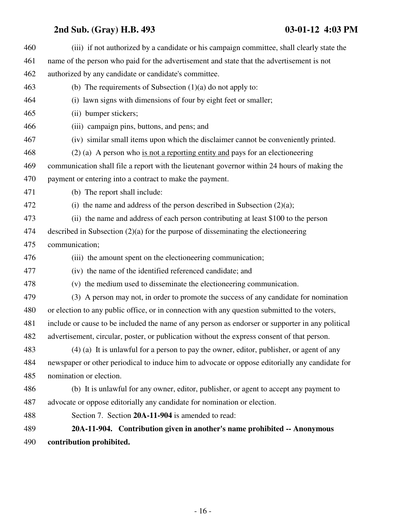| 490 | contribution prohibited.                                                                         |
|-----|--------------------------------------------------------------------------------------------------|
| 489 | 20A-11-904. Contribution given in another's name prohibited -- Anonymous                         |
| 488 | Section 7. Section 20A-11-904 is amended to read:                                                |
| 487 | advocate or oppose editorially any candidate for nomination or election.                         |
| 486 | (b) It is unlawful for any owner, editor, publisher, or agent to accept any payment to           |
| 485 | nomination or election.                                                                          |
| 484 | newspaper or other periodical to induce him to advocate or oppose editorially any candidate for  |
| 483 | (4) (a) It is unlawful for a person to pay the owner, editor, publisher, or agent of any         |
| 482 | advertisement, circular, poster, or publication without the express consent of that person.      |
| 481 | include or cause to be included the name of any person as endorser or supporter in any political |
| 480 | or election to any public office, or in connection with any question submitted to the voters,    |
| 479 | (3) A person may not, in order to promote the success of any candidate for nomination            |
| 478 | (v) the medium used to disseminate the electioneering communication.                             |
| 477 | (iv) the name of the identified referenced candidate; and                                        |
| 476 | (iii) the amount spent on the electioneering communication;                                      |
| 475 | communication;                                                                                   |
| 474 | described in Subsection $(2)(a)$ for the purpose of disseminating the electioneering             |
| 473 | (ii) the name and address of each person contributing at least \$100 to the person               |
| 472 | (i) the name and address of the person described in Subsection $(2)(a)$ ;                        |
| 471 | (b) The report shall include:                                                                    |
| 470 | payment or entering into a contract to make the payment.                                         |
| 469 | communication shall file a report with the lieutenant governor within 24 hours of making the     |
| 468 | $(2)$ (a) A person who is not a reporting entity and pays for an electioneering                  |
| 467 | (iv) similar small items upon which the disclaimer cannot be conveniently printed.               |
| 466 | (iii) campaign pins, buttons, and pens; and                                                      |
| 465 | (ii) bumper stickers;                                                                            |
| 464 | (i) lawn signs with dimensions of four by eight feet or smaller;                                 |
| 463 | (b) The requirements of Subsection $(1)(a)$ do not apply to:                                     |
| 462 | authorized by any candidate or candidate's committee.                                            |
| 461 | name of the person who paid for the advertisement and state that the advertisement is not        |
| 460 | (iii) if not authorized by a candidate or his campaign committee, shall clearly state the        |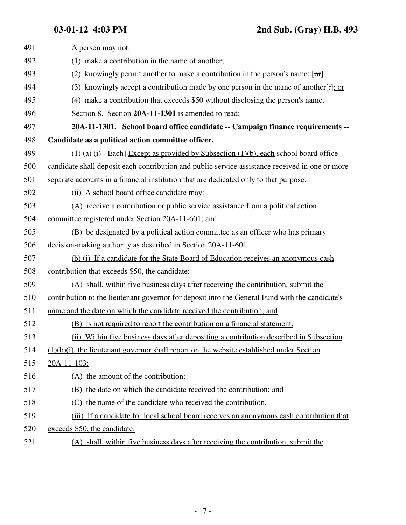| 491 | A person may not:                                                                                       |
|-----|---------------------------------------------------------------------------------------------------------|
| 492 | (1) make a contribution in the name of another;                                                         |
| 493 | (2) knowingly permit another to make a contribution in the person's name; $[\sigma \tau]$               |
| 494 | (3) knowingly accept a contribution made by one person in the name of another $\left[\cdot\right]$ : or |
| 495 | (4) make a contribution that exceeds \$50 without disclosing the person's name.                         |
| 496 | Section 8. Section 20A-11-1301 is amended to read:                                                      |
| 497 | 20A-11-1301. School board office candidate -- Campaign finance requirements --                          |
| 498 | Candidate as a political action committee officer.                                                      |
| 499 | $(1)$ (a) (i) [Each] Except as provided by Subsection (1)(b), each school board office                  |
| 500 | candidate shall deposit each contribution and public service assistance received in one or more         |
| 501 | separate accounts in a financial institution that are dedicated only to that purpose.                   |
| 502 | (ii) A school board office candidate may:                                                               |
| 503 | (A) receive a contribution or public service assistance from a political action                         |
| 504 | committee registered under Section 20A-11-601; and                                                      |
| 505 | (B) be designated by a political action committee as an officer who has primary                         |
| 506 | decision-making authority as described in Section 20A-11-601.                                           |
| 507 | (b) (i) If a candidate for the State Board of Education receives an anonymous cash                      |
| 508 | contribution that exceeds \$50, the candidate:                                                          |
| 509 | (A) shall, within five business days after receiving the contribution, submit the                       |
| 510 | contribution to the lieutenant governor for deposit into the General Fund with the candidate's          |
| 511 | name and the date on which the candidate received the contribution; and                                 |
| 512 | (B) is not required to report the contribution on a financial statement.                                |
| 513 | (ii) Within five business days after depositing a contribution described in Subsection                  |
| 514 | $(1)(b)(i)$ , the lieutenant governor shall report on the website established under Section             |
| 515 | $20A-11-103$ :                                                                                          |
| 516 | (A) the amount of the contribution;                                                                     |
| 517 | (B) the date on which the candidate received the contribution; and                                      |
| 518 | the name of the candidate who received the contribution.<br>(C)                                         |
| 519 | (iii) If a candidate for local school board receives an anonymous cash contribution that                |
| 520 | exceeds \$50, the candidate:                                                                            |
| 521 | (A) shall, within five business days after receiving the contribution, submit the                       |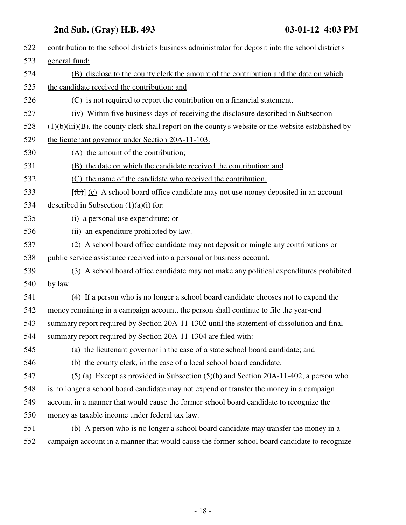| 522 | contribution to the school district's business administrator for deposit into the school district's    |
|-----|--------------------------------------------------------------------------------------------------------|
| 523 | general fund;                                                                                          |
| 524 | (B) disclose to the county clerk the amount of the contribution and the date on which                  |
| 525 | the candidate received the contribution; and                                                           |
| 526 | (C) is not required to report the contribution on a financial statement.                               |
| 527 | (iv) Within five business days of receiving the disclosure described in Subsection                     |
| 528 | $(1)(b)(iii)(B)$ , the county clerk shall report on the county's website or the website established by |
| 529 | the lieutenant governor under Section 20A-11-103:                                                      |
| 530 | (A) the amount of the contribution;                                                                    |
| 531 | (B) the date on which the candidate received the contribution; and                                     |
| 532 | (C) the name of the candidate who received the contribution.                                           |
| 533 | $[\theta]$ (c) A school board office candidate may not use money deposited in an account               |
| 534 | described in Subsection $(1)(a)(i)$ for:                                                               |
| 535 | (i) a personal use expenditure; or                                                                     |
| 536 | (ii) an expenditure prohibited by law.                                                                 |
| 537 | (2) A school board office candidate may not deposit or mingle any contributions or                     |
| 538 | public service assistance received into a personal or business account.                                |
| 539 | (3) A school board office candidate may not make any political expenditures prohibited                 |
| 540 | by law.                                                                                                |
| 541 | (4) If a person who is no longer a school board candidate chooses not to expend the                    |
| 542 | money remaining in a campaign account, the person shall continue to file the year-end                  |
| 543 | summary report required by Section 20A-11-1302 until the statement of dissolution and final            |
| 544 | summary report required by Section 20A-11-1304 are filed with:                                         |
| 545 | (a) the lieutenant governor in the case of a state school board candidate; and                         |
| 546 | (b) the county clerk, in the case of a local school board candidate.                                   |
| 547 | $(5)$ (a) Except as provided in Subsection $(5)(b)$ and Section 20A-11-402, a person who               |
| 548 | is no longer a school board candidate may not expend or transfer the money in a campaign               |
| 549 | account in a manner that would cause the former school board candidate to recognize the                |
| 550 | money as taxable income under federal tax law.                                                         |
| 551 | (b) A person who is no longer a school board candidate may transfer the money in a                     |
| 552 | campaign account in a manner that would cause the former school board candidate to recognize           |